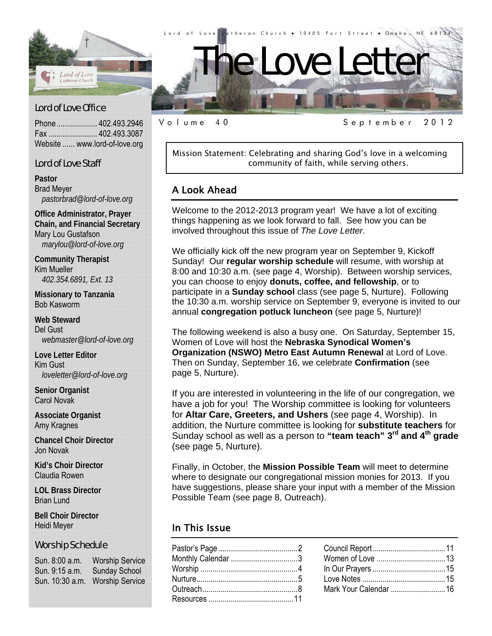

Phone .................... 402.493.2946 Fax ........................ 402.493.3087 Website ...... www.lord-of-love.org

#### Lord of Love Staff

**Pastor**  Brad Meyer *pastorbrad@lord-of-love.org* 

**Office Administrator, Prayer Chain, and Financial Secretary**  Mary Lou Gustafson *marylou@lord-of-love.org* 

**Community Therapist**  Kim Mueller *402.354.6891, Ext. 13* 

**Missionary to Tanzania**  Bob Kasworm

**Web Steward**  Del Gust *webmaster@lord-of-love.org* 

**Love Letter Editor**  Kim Gust *loveletter@lord-of-love.org* 

**Senior Organist**  Carol Novak

**Associate Organist**  Amy Kragnes

**Chancel Choir Director**  Jon Novak

**Kid's Choir Director**  Claudia Rowen

**LOL Brass Director**  Brian Lund

**Bell Choir Director**  Heidi Meyer

#### Worship Schedule

Sun. 8:00 a.m. Worship Service Sun. 9:15 a.m. Sunday School Sun. 10:30 a.m. Worship Service

Mission Statement: Celebrating and sharing God's love in a welcoming community of faith, while serving others.

Volume 40 September 2012

## A Look Ahead

Welcome to the 2012-2013 program year! We have a lot of exciting things happening as we look forward to fall. See how you can be involved throughout this issue of *The Love Letter*.

We officially kick off the new program year on September 9, Kickoff Sunday! Our **regular worship schedule** will resume, with worship at 8:00 and 10:30 a.m. (see page 4, Worship). Between worship services, you can choose to enjoy **donuts, coffee, and fellowship**, or to participate in a **Sunday school** class (see page 5, Nurture). Following the 10:30 a.m. worship service on September 9, everyone is invited to our annual **congregation potluck luncheon** (see page 5, Nurture)!

The following weekend is also a busy one. On Saturday, September 15, Women of Love will host the **Nebraska Synodical Women's Organization (NSWO) Metro East Autumn Renewal** at Lord of Love. Then on Sunday, September 16, we celebrate **Confirmation** (see page 5, Nurture).

If you are interested in volunteering in the life of our congregation, we have a job for you! The Worship committee is looking for volunteers for **Altar Care, Greeters, and Ushers** (see page 4, Worship). In addition, the Nurture committee is looking for **substitute teachers** for Sunday school as well as a person to **"team teach" 3rd and 4th grade** (see page 5, Nurture).

Finally, in October, the **Mission Possible Team** will meet to determine where to designate our congregational mission monies for 2013. If you have suggestions, please share your input with a member of the Mission Possible Team (see page 8, Outreach).

#### In This Issue

| Monthly Calendar 3 |  |
|--------------------|--|
|                    |  |
|                    |  |
|                    |  |
|                    |  |
|                    |  |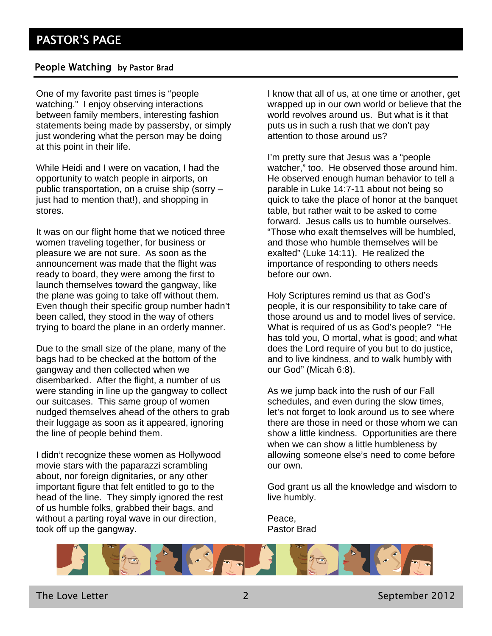#### People Watching by Pastor Brad

One of my favorite past times is "people watching." I enjoy observing interactions between family members, interesting fashion statements being made by passersby, or simply just wondering what the person may be doing at this point in their life.

While Heidi and I were on vacation, I had the opportunity to watch people in airports, on public transportation, on a cruise ship (sorry – just had to mention that!), and shopping in stores.

It was on our flight home that we noticed three women traveling together, for business or pleasure we are not sure. As soon as the announcement was made that the flight was ready to board, they were among the first to launch themselves toward the gangway, like the plane was going to take off without them. Even though their specific group number hadn't been called, they stood in the way of others trying to board the plane in an orderly manner.

Due to the small size of the plane, many of the bags had to be checked at the bottom of the gangway and then collected when we disembarked. After the flight, a number of us were standing in line up the gangway to collect our suitcases. This same group of women nudged themselves ahead of the others to grab their luggage as soon as it appeared, ignoring the line of people behind them.

I didn't recognize these women as Hollywood movie stars with the paparazzi scrambling about, nor foreign dignitaries, or any other important figure that felt entitled to go to the head of the line. They simply ignored the rest of us humble folks, grabbed their bags, and without a parting royal wave in our direction, took off up the gangway.

I know that all of us, at one time or another, get wrapped up in our own world or believe that the world revolves around us. But what is it that puts us in such a rush that we don't pay attention to those around us?

I'm pretty sure that Jesus was a "people watcher," too. He observed those around him. He observed enough human behavior to tell a parable in Luke 14:7-11 about not being so quick to take the place of honor at the banquet table, but rather wait to be asked to come forward. Jesus calls us to humble ourselves. "Those who exalt themselves will be humbled, and those who humble themselves will be exalted" (Luke 14:11). He realized the importance of responding to others needs before our own.

Holy Scriptures remind us that as God's people, it is our responsibility to take care of those around us and to model lives of service. What is required of us as God's people? "He has told you, O mortal, what is good; and what does the Lord require of you but to do justice, and to live kindness, and to walk humbly with our God" (Micah 6:8).

As we jump back into the rush of our Fall schedules, and even during the slow times, let's not forget to look around us to see where there are those in need or those whom we can show a little kindness. Opportunities are there when we can show a little humbleness by allowing someone else's need to come before our own.

God grant us all the knowledge and wisdom to live humbly.

Peace, Pastor Brad



The Love Letter **2** September 2012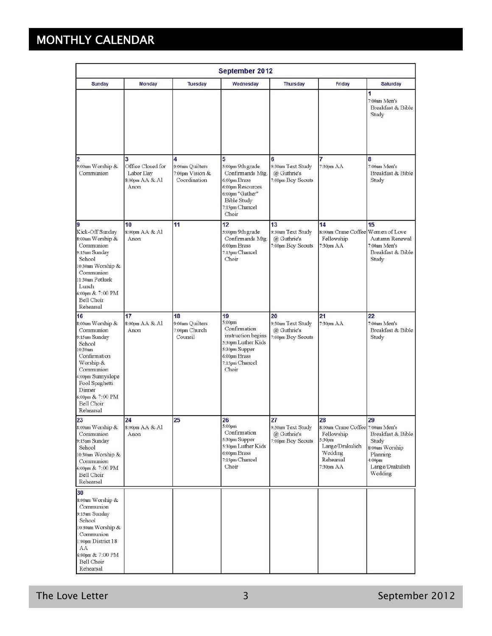# MONTHLY CALENDAR

| <b>September 2012</b>                                                                                                                                                                                                     |                                                               |                                                         |                                                                                                                                                   |                                                             |                                                                                                                        |                                                                                                                    |
|---------------------------------------------------------------------------------------------------------------------------------------------------------------------------------------------------------------------------|---------------------------------------------------------------|---------------------------------------------------------|---------------------------------------------------------------------------------------------------------------------------------------------------|-------------------------------------------------------------|------------------------------------------------------------------------------------------------------------------------|--------------------------------------------------------------------------------------------------------------------|
| <b>Sunday</b>                                                                                                                                                                                                             | <b>Monday</b>                                                 | <b>Tuesday</b>                                          | Wednesday                                                                                                                                         | <b>Thursday</b>                                             | Friday                                                                                                                 | <b>Saturday</b>                                                                                                    |
|                                                                                                                                                                                                                           |                                                               |                                                         |                                                                                                                                                   |                                                             |                                                                                                                        | 1<br>7:00am Men's<br>Breakfast & Bible<br>Study                                                                    |
| $\overline{2}$<br>9:00am Worship &<br>Communion                                                                                                                                                                           | 3<br>Office Closed for<br>Labor Day<br>8:00pm AA & Al<br>Anon | 4<br>9:00am Quilters<br>7:00pm Vision &<br>Coordination | 5<br>5:00pm 9th grade<br>Confirmands Mtg.<br>6:00pm Brass<br>6:00pm Resources<br>6:00pm "Gather"<br><b>Bible Study</b><br>7:15pm Chancel<br>Choir | 6<br>9:30am Text Study<br>@ Guthrie's<br>7:00pm Boy Scouts  | 7:30pm AA                                                                                                              | 8<br>7:00am Men's<br>Breakfast & Bible<br>Study                                                                    |
| 19<br>Kick-Off Sunday<br>8:00am Worship &<br>Communion<br>9:15am Sunday<br>School<br>10:30am Worship &<br>Communion<br>11:30am Potluck<br>Lunch<br>6:00pm & 7:00 PM<br>Bell Choir<br>Rehearsal                            | 10<br>8:00pm AA & Al<br>Anon                                  | 11                                                      | 12<br>5:00pm 9th grade<br>Confirmands Mtg.<br>6:00pm Brass<br>7:15pm Chancel<br>Choir                                                             | 13<br>9:30am Text Study<br>@ Guthrie's<br>7:00pm Boy Scouts | 14<br>8:00am Crane Coffee Women of Love<br>Fellowship<br>7:30pm AA                                                     | 15<br>Autumn Renewal<br>7:00am Men's<br>Breakfast & Bible<br>Study                                                 |
| 16<br>8:00am Worship &<br>Communion<br>9:15am Sunday<br>School<br>0:30am<br>Confirmation<br>Worship &<br>Communion<br>4:00pm Sunnyslope<br>Pool Spaghetti<br>Dinner<br>6:00pm & 7:00 PM<br><b>Bell Choir</b><br>Rehearsal | 17<br>8:00pm AA & Al<br>Anon                                  | 18<br>9:00am Quilters<br>7:00pm Church<br>Council       | 19<br>5:00pm<br>Confirmation<br>instruction begins<br>5:30pm Luther Kids<br>5:30pm Supper<br>6:00pm Brass<br>7:15pm Chancel<br>Choir              | 20<br>9:30am Text Study<br>@ Guthrie's<br>7:00pm Boy Scouts | 21<br>7:30pm AA                                                                                                        | 22<br>7:00am Men's<br>Breakfast & Bible<br>Study                                                                   |
| 23<br>8:00am Worship &<br>Communion<br>9:15am Sunday<br>School<br>10:30am Worship &<br>Communion<br>6:00pm & 7:00 PM<br>Bell Choir<br>Rehearsal                                                                           | 24<br>8:00pm AA & Al<br>Anon                                  | 25                                                      | 26<br>5:00pm<br>Confirmation<br>5:30pm Supper<br>5:30pm Luther Kids<br>6:00pm Brass<br>7:15pm Chancel<br>Choir                                    | 27<br>9:30am Text Study<br>@ Guthrie's<br>7:00pm Boy Scouts | 28<br>8:00am Crane Coffee 7:00am Men's<br>Fellowship<br>5:30pm<br>Lange/Drakulich<br>Wedding<br>Rehearsal<br>7:30pm AA | 29<br>Breakfast & Bible<br>Study<br>8:00am Worship<br>Planning<br>4:00 <sub>pm</sub><br>Lange/Drakulich<br>Wedding |
| 30<br>8:00am Worship &<br>Communion<br>9:15am Sunday<br>School<br>10:30am Worship &<br>Communion<br>1:00pm District 18<br>AA<br>6:00pm & 7:00 PM<br>Bell Choir<br>Rehearsal                                               |                                                               |                                                         |                                                                                                                                                   |                                                             |                                                                                                                        |                                                                                                                    |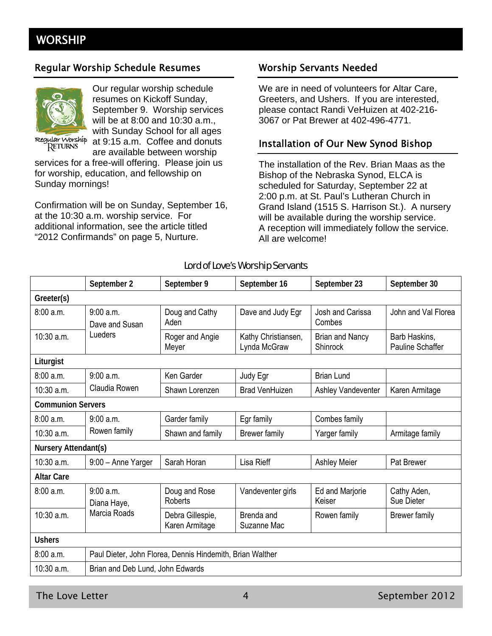## **WORSHIP**

#### Regular Worship Schedule Resumes Worship Servants Needed



Our regular worship schedule resumes on Kickoff Sunday, September 9. Worship services will be at 8:00 and 10:30 a.m., with Sunday School for all ages at 9:15 a.m. Coffee and donuts are available between worship

Regular Worship RETURNS

services for a free-will offering. Please join us for worship, education, and fellowship on Sunday mornings!

Confirmation will be on Sunday, September 16, at the 10:30 a.m. worship service. For additional information, see the article titled "2012 Confirmands" on page 5, Nurture.

We are in need of volunteers for Altar Care, Greeters, and Ushers. If you are interested, please contact Randi VeHuizen at 402-216- 3067 or Pat Brewer at 402-496-4771.

#### Installation of Our New Synod Bishop

The installation of the Rev. Brian Maas as the Bishop of the Nebraska Synod, ELCA is scheduled for Saturday, September 22 at 2:00 p.m. at St. Paul's Lutheran Church in Grand Island (1515 S. Harrison St.). A nursery will be available during the worship service. A reception will immediately follow the service. All are welcome!

#### Lord of Love's Worship Servants

|                          | September 2                                               | September 9                        | September 16                        | September 23                       | September 30                             |
|--------------------------|-----------------------------------------------------------|------------------------------------|-------------------------------------|------------------------------------|------------------------------------------|
| Greeter(s)               |                                                           |                                    |                                     |                                    |                                          |
| 8:00a.m.                 | 9:00 a.m.<br>Dave and Susan                               | Doug and Cathy<br>Aden             | Dave and Judy Egr                   | Josh and Carissa<br>Combes         | John and Val Florea                      |
| $10:30$ a.m.             | Lueders                                                   | Roger and Angie<br>Meyer           | Kathy Christiansen,<br>Lynda McGraw | <b>Brian and Nancy</b><br>Shinrock | Barb Haskins,<br><b>Pauline Schaffer</b> |
| Liturgist                |                                                           |                                    |                                     |                                    |                                          |
| 8:00a.m.                 | 9:00 a.m.                                                 | Ken Garder                         | Judy Egr                            | <b>Brian Lund</b>                  |                                          |
| 10:30 a.m.               | Claudia Rowen                                             | Shawn Lorenzen                     | <b>Brad VenHuizen</b>               | Ashley Vandeventer                 | Karen Armitage                           |
| <b>Communion Servers</b> |                                                           |                                    |                                     |                                    |                                          |
| 8:00a.m.                 | 9:00 a.m.                                                 | Garder family                      | Egr family                          | Combes family                      |                                          |
| $10:30$ a.m.             | Rowen family                                              | Shawn and family                   | <b>Brewer family</b>                | Yarger family                      | Armitage family                          |
| Nursery Attendant(s)     |                                                           |                                    |                                     |                                    |                                          |
| $10:30$ a.m.             | 9:00 - Anne Yarger                                        | Sarah Horan                        | Lisa Rieff                          | <b>Ashley Meier</b>                | Pat Brewer                               |
| <b>Altar Care</b>        |                                                           |                                    |                                     |                                    |                                          |
| 8:00a.m.                 | 9:00a.m.<br>Diana Haye,                                   | Doug and Rose<br><b>Roberts</b>    | Vandeventer girls                   | Ed and Marjorie<br>Keiser          | Cathy Aden,<br>Sue Dieter                |
| 10:30 a.m.               | Marcia Roads                                              | Debra Gillespie,<br>Karen Armitage | Brenda and<br>Suzanne Mac           | Rowen family                       | <b>Brewer family</b>                     |
| <b>Ushers</b>            |                                                           |                                    |                                     |                                    |                                          |
| 8:00a.m.                 | Paul Dieter, John Florea, Dennis Hindemith, Brian Walther |                                    |                                     |                                    |                                          |
| 10:30 a.m.               | Brian and Deb Lund, John Edwards                          |                                    |                                     |                                    |                                          |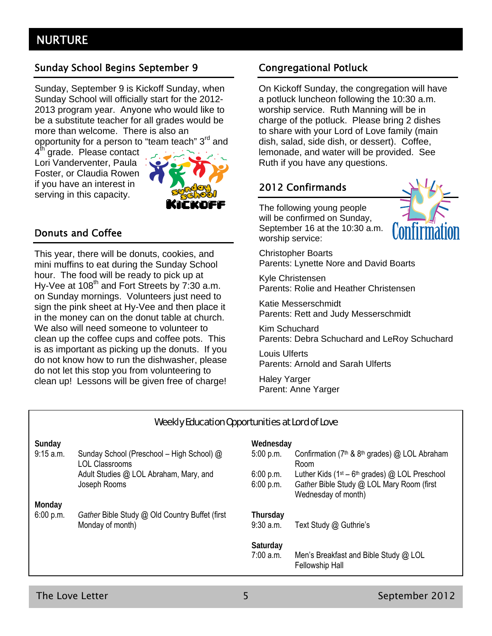## Sunday School Begins September 9 Congregational Potluck

Sunday, September 9 is Kickoff Sunday, when Sunday School will officially start for the 2012- 2013 program year. Anyone who would like to be a substitute teacher for all grades would be more than welcome. There is also an

opportunity for a person to "team teach" 3<sup>rd</sup> and

4<sup>th</sup> grade. Please contact Lori Vanderventer, Paula Foster, or Claudia Rowen if you have an interest in serving in this capacity.



#### Donuts and Coffee

This year, there will be donuts, cookies, and mini muffins to eat during the Sunday School hour. The food will be ready to pick up at Hy-Vee at  $108<sup>th</sup>$  and Fort Streets by 7:30 a.m. on Sunday mornings. Volunteers just need to sign the pink sheet at Hy-Vee and then place it in the money can on the donut table at church. We also will need someone to volunteer to clean up the coffee cups and coffee pots. This is as important as picking up the donuts. If you do not know how to run the dishwasher, please do not let this stop you from volunteering to clean up! Lessons will be given free of charge!

On Kickoff Sunday, the congregation will have a potluck luncheon following the 10:30 a.m. worship service. Ruth Manning will be in charge of the potluck. Please bring 2 dishes to share with your Lord of Love family (main dish, salad, side dish, or dessert). Coffee, lemonade, and water will be provided. See Ruth if you have any questions.

## 2012 Confirmands

The following young people will be confirmed on Sunday, September 16 at the 10:30 a.m. worship service:



Christopher Boarts Parents: Lynette Nore and David Boarts

Kyle Christensen Parents: Rolie and Heather Christensen

Katie Messerschmidt Parents: Rett and Judy Messerschmidt

Kim Schuchard Parents: Debra Schuchard and LeRoy Schuchard

Louis Ulferts Parents: Arnold and Sarah Ulferts

Haley Yarger Parent: Anne Yarger

#### Weekly Education Opportunities at Lord of Love

| Sunday    |                                                                    | Wednesday               |                                                                                                                       |
|-----------|--------------------------------------------------------------------|-------------------------|-----------------------------------------------------------------------------------------------------------------------|
| 9:15 a.m. | Sunday School (Preschool - High School) @<br><b>LOL Classrooms</b> | 5:00 p.m.               | Confirmation (7 <sup>th</sup> & 8 <sup>th</sup> grades) @ LOL Abraham<br>Room                                         |
|           | Adult Studies @ LOL Abraham, Mary, and<br>Joseph Rooms             | 6:00 p.m.<br>6:00 p.m.  | Luther Kids ( $1st - 6th$ grades) @ LOL Preschool<br>Gather Bible Study @ LOL Mary Room (first<br>Wednesday of month) |
| Monday    |                                                                    |                         |                                                                                                                       |
| 6:00 p.m. | Gather Bible Study @ Old Country Buffet (first<br>Monday of month) | Thursday<br>$9:30$ a.m. | Text Study @ Guthrie's                                                                                                |
|           |                                                                    | Saturday<br>7:00 a.m.   | Men's Breakfast and Bible Study @ LOL<br><b>Fellowship Hall</b>                                                       |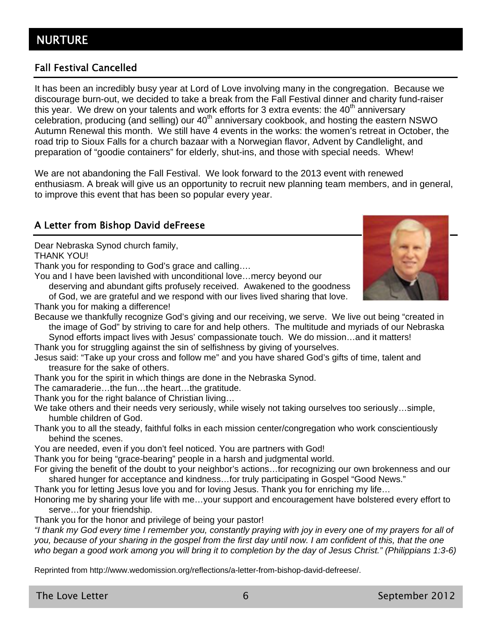## Fall Festival Cancelled

It has been an incredibly busy year at Lord of Love involving many in the congregation. Because we discourage burn-out, we decided to take a break from the Fall Festival dinner and charity fund-raiser this year. We drew on your talents and work efforts for 3 extra events: the  $40<sup>th</sup>$  anniversary celebration, producing (and selling) our  $40<sup>th</sup>$  anniversary cookbook, and hosting the eastern NSWO Autumn Renewal this month. We still have 4 events in the works: the women's retreat in October, the road trip to Sioux Falls for a church bazaar with a Norwegian flavor, Advent by Candlelight, and preparation of "goodie containers" for elderly, shut-ins, and those with special needs. Whew!

We are not abandoning the Fall Festival. We look forward to the 2013 event with renewed enthusiasm. A break will give us an opportunity to recruit new planning team members, and in general, to improve this event that has been so popular every year.

## A Letter from Bishop David deFreese

Dear Nebraska Synod church family,

THANK YOU!

Thank you for responding to God's grace and calling….

You and I have been lavished with unconditional love…mercy beyond our

deserving and abundant gifts profusely received. Awakened to the goodness of God, we are grateful and we respond with our lives lived sharing that love.

Thank you for making a difference!

Because we thankfully recognize God's giving and our receiving, we serve. We live out being "created in the image of God" by striving to care for and help others. The multitude and myriads of our Nebraska

Synod efforts impact lives with Jesus' compassionate touch. We do mission…and it matters! Thank you for struggling against the sin of selfishness by giving of yourselves.

Jesus said: "Take up your cross and follow me" and you have shared God's gifts of time, talent and treasure for the sake of others.

Thank you for the spirit in which things are done in the Nebraska Synod.

The camaraderie…the fun…the heart…the gratitude.

Thank you for the right balance of Christian living…

We take others and their needs very seriously, while wisely not taking ourselves too seriously...simple, humble children of God.

Thank you to all the steady, faithful folks in each mission center/congregation who work conscientiously behind the scenes.

You are needed, even if you don't feel noticed. You are partners with God!

Thank you for being "grace-bearing" people in a harsh and judgmental world.

For giving the benefit of the doubt to your neighbor's actions…for recognizing our own brokenness and our shared hunger for acceptance and kindness…for truly participating in Gospel "Good News."

Thank you for letting Jesus love you and for loving Jesus. Thank you for enriching my life…

Honoring me by sharing your life with me…your support and encouragement have bolstered every effort to serve…for your friendship.

Thank you for the honor and privilege of being your pastor!

*"I thank my God every time I remember you, constantly praying with joy in every one of my prayers for all of you, because of your sharing in the gospel from the first day until now. I am confident of this, that the one who began a good work among you will bring it to completion by the day of Jesus Christ." (Philippians 1:3-6)* 

Reprinted from http://www.wedomission.org/reflections/a-letter-from-bishop-david-defreese/.

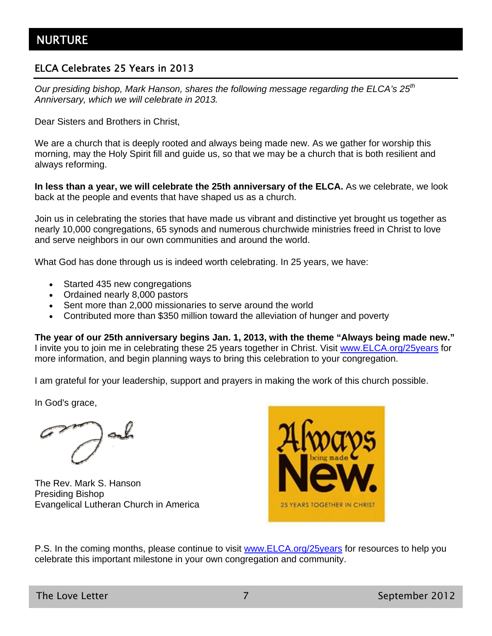## ELCA Celebrates 25 Years in 2013

*Our presiding bishop, Mark Hanson, shares the following message regarding the ELCA's 25th Anniversary, which we will celebrate in 2013.* 

Dear Sisters and Brothers in Christ,

We are a church that is deeply rooted and always being made new. As we gather for worship this morning, may the Holy Spirit fill and guide us, so that we may be a church that is both resilient and always reforming.

**In less than a year, we will celebrate the 25th anniversary of the ELCA.** As we celebrate, we look back at the people and events that have shaped us as a church.

Join us in celebrating the stories that have made us vibrant and distinctive yet brought us together as nearly 10,000 congregations, 65 synods and numerous churchwide ministries freed in Christ to love and serve neighbors in our own communities and around the world.

What God has done through us is indeed worth celebrating. In 25 years, we have:

- Started 435 new congregations
- Ordained nearly 8,000 pastors
- Sent more than 2,000 missionaries to serve around the world
- Contributed more than \$350 million toward the alleviation of hunger and poverty

**The year of our 25th anniversary begins Jan. 1, 2013, with the theme "Always being made new."** I invite you to join me in celebrating these 25 years together in Christ. Visit www.ELCA.org/25years for more information, and begin planning ways to bring this celebration to your congregation.

I am grateful for your leadership, support and prayers in making the work of this church possible.

In God's grace,

The Rev. Mark S. Hanson Presiding Bishop Evangelical Lutheran Church in America



P.S. In the coming months, please continue to visit www.ELCA.org/25years for resources to help you celebrate this important milestone in your own congregation and community.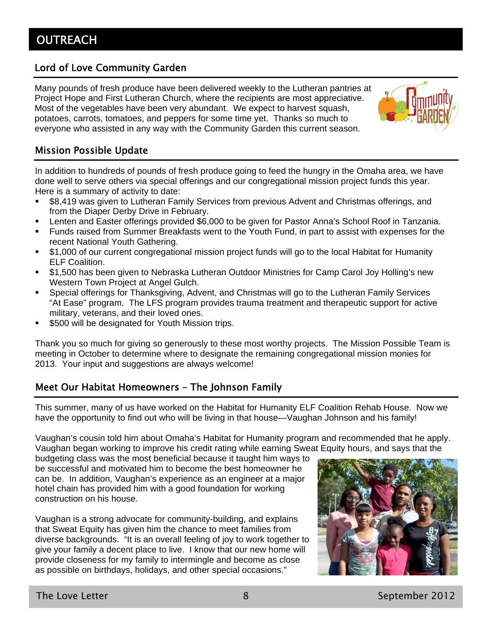## Lord of Love Community Garden

Many pounds of fresh produce have been delivered weekly to the Lutheran pantries at Project Hope and First Lutheran Church, where the recipients are most appreciative. Most of the vegetables have been very abundant. We expect to harvest squash, potatoes, carrots, tomatoes, and peppers for some time yet. Thanks so much to everyone who assisted in any way with the Community Garden this current season.



## Mission Possible Update

In addition to hundreds of pounds of fresh produce going to feed the hungry in the Omaha area, we have done well to serve others via special offerings and our congregational mission project funds this year. Here is a summary of activity to date:

- \$8,419 was given to Lutheran Family Services from previous Advent and Christmas offerings, and from the Diaper Derby Drive in February.
- Lenten and Easter offerings provided \$6,000 to be given for Pastor Anna's School Roof in Tanzania.
- Funds raised from Summer Breakfasts went to the Youth Fund, in part to assist with expenses for the recent National Youth Gathering.
- \$1,000 of our current congregational mission project funds will go to the local Habitat for Humanity ELF Coalition.
- \$1,500 has been given to Nebraska Lutheran Outdoor Ministries for Camp Carol Joy Holling's new Western Town Project at Angel Gulch.
- Special offerings for Thanksgiving, Advent, and Christmas will go to the Lutheran Family Services "At Ease" program. The LFS program provides trauma treatment and therapeutic support for active military, veterans, and their loved ones.
- \$500 will be designated for Youth Mission trips.

Thank you so much for giving so generously to these most worthy projects. The Mission Possible Team is meeting in October to determine where to designate the remaining congregational mission monies for 2013. Your input and suggestions are always welcome!

## Meet Our Habitat Homeowners – The Johnson Family

This summer, many of us have worked on the Habitat for Humanity ELF Coalition Rehab House. Now we have the opportunity to find out who will be living in that house—Vaughan Johnson and his family!

Vaughan's cousin told him about Omaha's Habitat for Humanity program and recommended that he apply. Vaughan began working to improve his credit rating while earning Sweat Equity hours, and says that the

budgeting class was the most beneficial because it taught him ways to be successful and motivated him to become the best homeowner he can be. In addition, Vaughan's experience as an engineer at a major hotel chain has provided him with a good foundation for working construction on his house.

Vaughan is a strong advocate for community-building, and explains that Sweat Equity has given him the chance to meet families from diverse backgrounds. "It is an overall feeling of joy to work together to give your family a decent place to live. I know that our new home will provide closeness for my family to intermingle and become as close as possible on birthdays, holidays, and other special occasions."

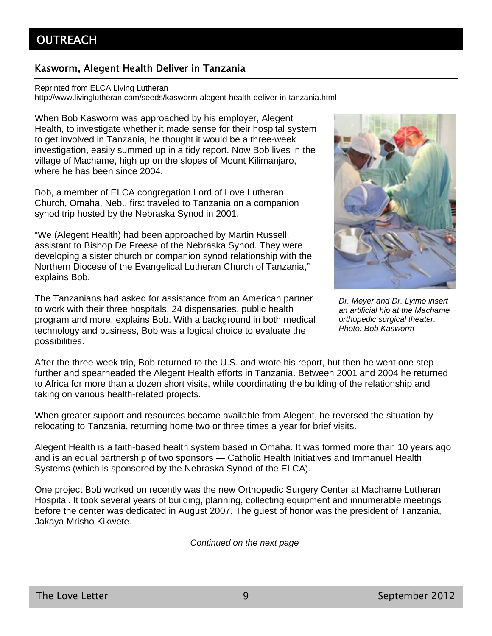## Kasworm, Alegent Health Deliver in Tanzania

Reprinted from ELCA Living Lutheran

http://www.livinglutheran.com/seeds/kasworm-alegent-health-deliver-in-tanzania.html

When Bob Kasworm was approached by his employer, Alegent Health, to investigate whether it made sense for their hospital system to get involved in Tanzania, he thought it would be a three-week investigation, easily summed up in a tidy report. Now Bob lives in the village of Machame, high up on the slopes of Mount Kilimanjaro, where he has been since 2004.

Bob, a member of ELCA congregation Lord of Love Lutheran Church, Omaha, Neb., first traveled to Tanzania on a companion synod trip hosted by the Nebraska Synod in 2001.

"We (Alegent Health) had been approached by Martin Russell, assistant to Bishop De Freese of the Nebraska Synod. They were developing a sister church or companion synod relationship with the Northern Diocese of the Evangelical Lutheran Church of Tanzania," explains Bob.

The Tanzanians had asked for assistance from an American partner to work with their three hospitals, 24 dispensaries, public health program and more, explains Bob. With a background in both medical technology and business, Bob was a logical choice to evaluate the possibilities.



*Dr. Meyer and Dr. Lyimo insert an artificial hip at the Machame orthopedic surgical theater. Photo: Bob Kasworm* 

After the three-week trip, Bob returned to the U.S. and wrote his report, but then he went one step further and spearheaded the Alegent Health efforts in Tanzania. Between 2001 and 2004 he returned to Africa for more than a dozen short visits, while coordinating the building of the relationship and taking on various health-related projects.

When greater support and resources became available from Alegent, he reversed the situation by relocating to Tanzania, returning home two or three times a year for brief visits.

Alegent Health is a faith-based health system based in Omaha. It was formed more than 10 years ago and is an equal partnership of two sponsors — Catholic Health Initiatives and Immanuel Health Systems (which is sponsored by the Nebraska Synod of the ELCA).

One project Bob worked on recently was the new Orthopedic Surgery Center at Machame Lutheran Hospital. It took several years of building, planning, collecting equipment and innumerable meetings before the center was dedicated in August 2007. The guest of honor was the president of Tanzania, Jakaya Mrisho Kikwete.

*Continued on the next page*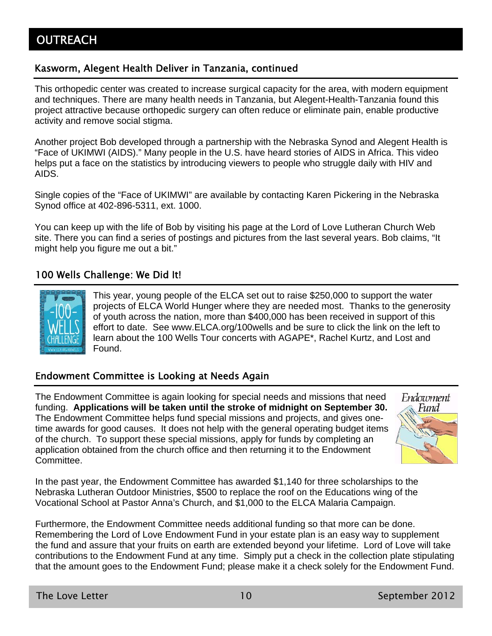## Kasworm, Alegent Health Deliver in Tanzania, continued

This orthopedic center was created to increase surgical capacity for the area, with modern equipment and techniques. There are many health needs in Tanzania, but Alegent-Health-Tanzania found this project attractive because orthopedic surgery can often reduce or eliminate pain, enable productive activity and remove social stigma.

Another project Bob developed through a partnership with the Nebraska Synod and Alegent Health is "Face of UKIMWI (AIDS)." Many people in the U.S. have heard stories of AIDS in Africa. This video helps put a face on the statistics by introducing viewers to people who struggle daily with HIV and AIDS.

Single copies of the "Face of UKIMWI" are available by contacting Karen Pickering in the Nebraska Synod office at 402-896-5311, ext. 1000.

You can keep up with the life of Bob by visiting his page at the Lord of Love Lutheran Church Web site. There you can find a series of postings and pictures from the last several years. Bob claims, "It might help you figure me out a bit."

## 100 Wells Challenge: We Did It!



This year, young people of the ELCA set out to raise \$250,000 to support the water projects of ELCA World Hunger where they are needed most. Thanks to the generosity of youth across the nation, more than \$400,000 has been received in support of this effort to date. See www.ELCA.org/100wells and be sure to click the link on the left to learn about the 100 Wells Tour concerts with AGAPE\*, Rachel Kurtz, and Lost and Found.

### Endowment Committee is Looking at Needs Again

The Endowment Committee is again looking for special needs and missions that need funding. **Applications will be taken until the stroke of midnight on September 30.** The Endowment Committee helps fund special missions and projects, and gives onetime awards for good causes. It does not help with the general operating budget items of the church. To support these special missions, apply for funds by completing an application obtained from the church office and then returning it to the Endowment Committee.



In the past year, the Endowment Committee has awarded \$1,140 for three scholarships to the Nebraska Lutheran Outdoor Ministries, \$500 to replace the roof on the Educations wing of the Vocational School at Pastor Anna's Church, and \$1,000 to the ELCA Malaria Campaign.

Furthermore, the Endowment Committee needs additional funding so that more can be done. Remembering the Lord of Love Endowment Fund in your estate plan is an easy way to supplement the fund and assure that your fruits on earth are extended beyond your lifetime. Lord of Love will take contributions to the Endowment Fund at any time. Simply put a check in the collection plate stipulating that the amount goes to the Endowment Fund; please make it a check solely for the Endowment Fund.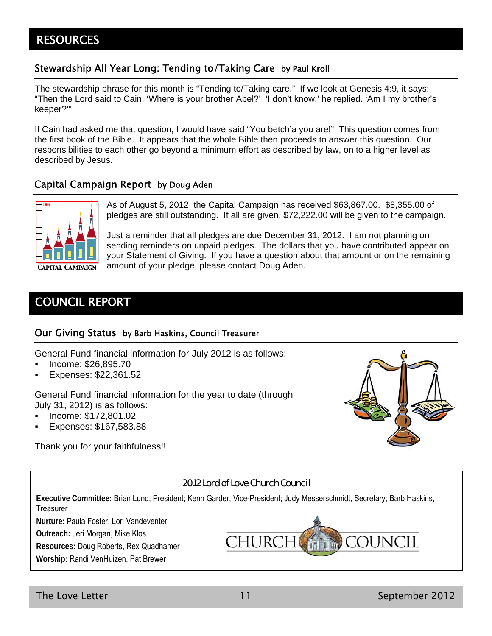## **RESOURCES**

## Stewardship All Year Long: Tending to/Taking Care by Paul Kroll

The stewardship phrase for this month is "Tending to/Taking care." If we look at Genesis 4:9, it says: "Then the Lord said to Cain, 'Where is your brother Abel?' 'I don't know,' he replied. 'Am I my brother's keeper?'"

If Cain had asked me that question, I would have said "You betch'a you are!" This question comes from the first book of the Bible. It appears that the whole Bible then proceeds to answer this question. Our responsibilities to each other go beyond a minimum effort as described by law, on to a higher level as described by Jesus.

#### Capital Campaign Report by Doug Aden



As of August 5, 2012, the Capital Campaign has received \$63,867.00. \$8,355.00 of pledges are still outstanding. If all are given, \$72,222.00 will be given to the campaign.

Just a reminder that all pledges are due December 31, 2012. I am not planning on sending reminders on unpaid pledges. The dollars that you have contributed appear on your Statement of Giving. If you have a question about that amount or on the remaining amount of your pledge, please contact Doug Aden.

## COUNCIL REPORT

#### Our Giving Status by Barb Haskins, Council Treasurer

General Fund financial information for July 2012 is as follows:

- Income: \$26,895.70
- Expenses: \$22,361.52

General Fund financial information for the year to date (through July 31, 2012) is as follows:

- Income: \$172,801.02
- Expenses: \$167,583.88

Thank you for your faithfulness!!



#### 2012 Lord of Love Church Council

**Executive Committee:** Brian Lund, President; Kenn Garder, Vice-President; Judy Messerschmidt, Secretary; Barb Haskins, **Treasurer** 

**Nurture:** Paula Foster, Lori Vandeventer

**Outreach:** Jeri Morgan, Mike Klos

**Resources:** Doug Roberts, Rex Quadhamer

**Worship:** Randi VenHuizen, Pat Brewer

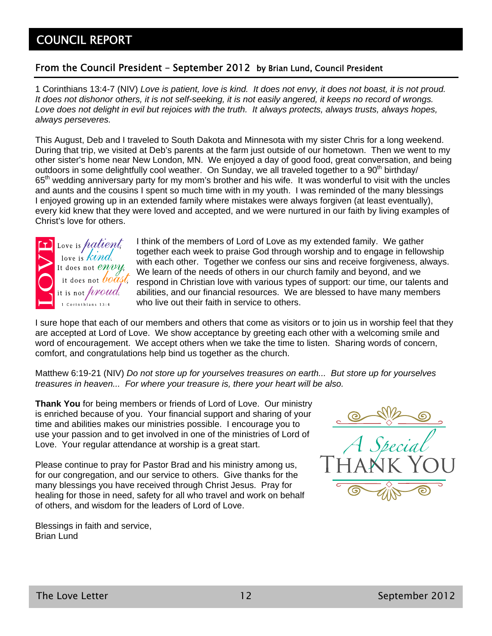## COUNCIL REPORT

#### From the Council President – September 2012 by Brian Lund, Council President

1 Corinthians 13:4-7 (NIV) *Love is patient, love is kind. It does not envy, it does not boast, it is not proud. It does not dishonor others, it is not self-seeking, it is not easily angered, it keeps no record of wrongs. Love does not delight in evil but rejoices with the truth. It always protects, always trusts, always hopes, always perseveres.*

This August, Deb and I traveled to South Dakota and Minnesota with my sister Chris for a long weekend. During that trip, we visited at Deb's parents at the farm just outside of our hometown. Then we went to my other sister's home near New London, MN. We enjoyed a day of good food, great conversation, and being outdoors in some delightfully cool weather. On Sunday, we all traveled together to a  $90<sup>th</sup>$  birthday/ 65<sup>th</sup> wedding anniversary party for my mom's brother and his wife. It was wonderful to visit with the uncles and aunts and the cousins I spent so much time with in my youth. I was reminded of the many blessings I enjoyed growing up in an extended family where mistakes were always forgiven (at least eventually), every kid knew that they were loved and accepted, and we were nurtured in our faith by living examples of Christ's love for others.



I think of the members of Lord of Love as my extended family. We gather together each week to praise God through worship and to engage in fellowship with each other. Together we confess our sins and receive forgiveness, always. We learn of the needs of others in our church family and beyond, and we respond in Christian love with various types of support: our time, our talents and abilities, and our financial resources. We are blessed to have many members who live out their faith in service to others.

I sure hope that each of our members and others that come as visitors or to join us in worship feel that they are accepted at Lord of Love. We show acceptance by greeting each other with a welcoming smile and word of encouragement. We accept others when we take the time to listen. Sharing words of concern, comfort, and congratulations help bind us together as the church.

Matthew 6:19-21 (NIV) *Do not store up for yourselves treasures on earth... But store up for yourselves treasures in heaven... For where your treasure is, there your heart will be also.*

**Thank You** for being members or friends of Lord of Love. Our ministry is enriched because of you. Your financial support and sharing of your time and abilities makes our ministries possible. I encourage you to use your passion and to get involved in one of the ministries of Lord of Love. Your regular attendance at worship is a great start.

Please continue to pray for Pastor Brad and his ministry among us, for our congregation, and our service to others. Give thanks for the many blessings you have received through Christ Jesus. Pray for healing for those in need, safety for all who travel and work on behalf of others, and wisdom for the leaders of Lord of Love.

Blessings in faith and service, Brian Lund

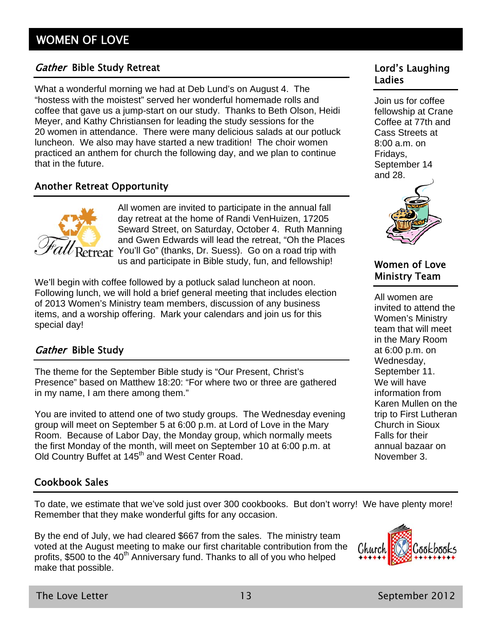## Gather Bible Study Retreat **Lord's Laughing**

What a wonderful morning we had at Deb Lund's on August 4. The "hostess with the moistest" served her wonderful homemade rolls and coffee that gave us a jump-start on our study. Thanks to Beth Olson, Heidi Meyer, and Kathy Christiansen for leading the study sessions for the 20 women in attendance. There were many delicious salads at our potluck luncheon. We also may have started a new tradition! The choir women practiced an anthem for church the following day, and we plan to continue that in the future.

## Another Retreat Opportunity



All women are invited to participate in the annual fall day retreat at the home of Randi VenHuizen, 17205 Seward Street, on Saturday, October 4. Ruth Manning and Gwen Edwards will lead the retreat, "Oh the Places You'll Go" (thanks, Dr. Suess). Go on a road trip with us and participate in Bible study, fun, and fellowship!

We'll begin with coffee followed by a potluck salad luncheon at noon. Following lunch, we will hold a brief general meeting that includes election of 2013 Women's Ministry team members, discussion of any business items, and a worship offering. Mark your calendars and join us for this special day!

## Gather Bible Study

The theme for the September Bible study is "Our Present, Christ's Presence" based on Matthew 18:20: "For where two or three are gathered in my name, I am there among them."

You are invited to attend one of two study groups. The Wednesday evening group will meet on September 5 at 6:00 p.m. at Lord of Love in the Mary Room. Because of Labor Day, the Monday group, which normally meets the first Monday of the month, will meet on September 10 at 6:00 p.m. at Old Country Buffet at 145<sup>th</sup> and West Center Road.

## Cookbook Sales

To date, we estimate that we've sold just over 300 cookbooks. But don't worry! We have plenty more! Remember that they make wonderful gifts for any occasion.

By the end of July, we had cleared \$667 from the sales. The ministry team voted at the August meeting to make our first charitable contribution from the profits, \$500 to the  $40<sup>th</sup>$  Anniversary fund. Thanks to all of you who helped make that possible.



# Ladies

Join us for coffee fellowship at Crane Coffee at 77th and Cass Streets at 8:00 a.m. on Fridays, September 14 and 28.



## Women of Love Ministry Team

All women are invited to attend the Women's Ministry team that will meet in the Mary Room at 6:00 p.m. on Wednesday, September 11. We will have information from Karen Mullen on the trip to First Lutheran Church in Sioux Falls for their annual bazaar on November 3.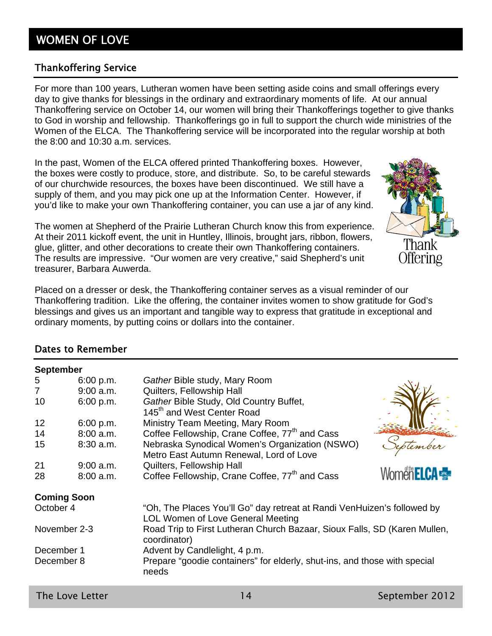# WOMEN OF LOVE

## Thankoffering Service

For more than 100 years, Lutheran women have been setting aside coins and small offerings every day to give thanks for blessings in the ordinary and extraordinary moments of life. At our annual Thankoffering service on October 14, our women will bring their Thankofferings together to give thanks to God in worship and fellowship. Thankofferings go in full to support the church wide ministries of the Women of the ELCA. The Thankoffering service will be incorporated into the regular worship at both the 8:00 and 10:30 a.m. services.

In the past, Women of the ELCA offered printed Thankoffering boxes. However, the boxes were costly to produce, store, and distribute. So, to be careful stewards of our churchwide resources, the boxes have been discontinued. We still have a supply of them, and you may pick one up at the Information Center. However, if you'd like to make your own Thankoffering container, you can use a jar of any kind.

The women at Shepherd of the Prairie Lutheran Church know this from experience. At their 2011 kickoff event, the unit in Huntley, Illinois, brought jars, ribbon, flowers, glue, glitter, and other decorations to create their own Thankoffering containers. The results are impressive. "Our women are very creative," said Shepherd's unit treasurer, Barbara Auwerda.

Placed on a dresser or desk, the Thankoffering container serves as a visual reminder of our Thankoffering tradition. Like the offering, the container invites women to show gratitude for God's blessings and gives us an important and tangible way to express that gratitude in exceptional and ordinary moments, by putting coins or dollars into the container.

### Dates to Remember

**September** 

| 5              | 6:00 p.m.          | Gather Bible study, Mary Room                                                             |                   |
|----------------|--------------------|-------------------------------------------------------------------------------------------|-------------------|
| $\overline{7}$ | $9:00$ a.m.        | Quilters, Fellowship Hall                                                                 |                   |
| 10             | 6:00 p.m.          | Gather Bible Study, Old Country Buffet,                                                   |                   |
|                |                    | 145 <sup>th</sup> and West Center Road                                                    |                   |
| 12             | 6:00 p.m.          | Ministry Team Meeting, Mary Room                                                          |                   |
| 14             | $8:00$ a.m.        | Coffee Fellowship, Crane Coffee, 77 <sup>th</sup> and Cass                                |                   |
| 15             | $8:30$ a.m.        | Nebraska Synodical Women's Organization (NSWO)                                            |                   |
|                |                    | Metro East Autumn Renewal, Lord of Love                                                   |                   |
| 21             | $9:00$ a.m.        | Quilters, Fellowship Hall                                                                 |                   |
| 28             | $8:00$ a.m.        | Coffee Fellowship, Crane Coffee, 77 <sup>th</sup> and Cass                                | Women <b>ELCA</b> |
|                | <b>Coming Soon</b> |                                                                                           |                   |
| October 4      |                    | "Oh, The Places You'll Go" day retreat at Randi VenHuizen's followed by                   |                   |
|                |                    | <b>LOL Women of Love General Meeting</b>                                                  |                   |
|                | November 2-3       | Road Trip to First Lutheran Church Bazaar, Sioux Falls, SD (Karen Mullen,<br>coordinator) |                   |
| December 1     |                    | Advent by Candlelight, 4 p.m.                                                             |                   |
| December 8     |                    | Prepare "goodie containers" for elderly, shut-ins, and those with special                 |                   |
|                |                    | needs                                                                                     |                   |
|                |                    |                                                                                           |                   |

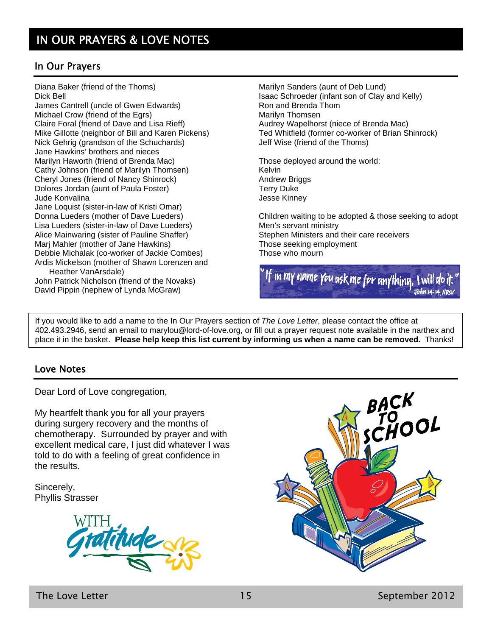## In Our Prayers

Diana Baker (friend of the Thoms) Dick Bell

James Cantrell (uncle of Gwen Edwards) Michael Crow (friend of the Egrs) Claire Foral (friend of Dave and Lisa Rieff) Mike Gillotte (neighbor of Bill and Karen Pickens) Nick Gehrig (grandson of the Schuchards) Jane Hawkins' brothers and nieces Marilyn Haworth (friend of Brenda Mac) Cathy Johnson (friend of Marilyn Thomsen) Cheryl Jones (friend of Nancy Shinrock) Dolores Jordan (aunt of Paula Foster) Jude Konvalina Jane Loquist (sister-in-law of Kristi Omar) Donna Lueders (mother of Dave Lueders) Lisa Lueders (sister-in-law of Dave Lueders) Alice Mainwaring (sister of Pauline Shaffer) Marj Mahler (mother of Jane Hawkins) Debbie Michalak (co-worker of Jackie Combes) Ardis Mickelson (mother of Shawn Lorenzen and Heather VanArsdale) John Patrick Nicholson (friend of the Novaks)

David Pippin (nephew of Lynda McGraw)

Marilyn Sanders (aunt of Deb Lund) Isaac Schroeder (infant son of Clay and Kelly) Ron and Brenda Thom Marilyn Thomsen Audrey Wapelhorst (niece of Brenda Mac) Ted Whitfield (former co-worker of Brian Shinrock) Jeff Wise (friend of the Thoms)

Those deployed around the world: Kelvin Andrew Briggs Terry Duke Jesse Kinney

Children waiting to be adopted & those seeking to adopt Men's servant ministry Stephen Ministers and their care receivers Those seeking employment Those who mourn



If you would like to add a name to the In Our Prayers section of *The Love Letter*, please contact the office at 402.493.2946, send an email to marylou@lord-of-love.org, or fill out a prayer request note available in the narthex and place it in the basket. **Please help keep this list current by informing us when a name can be removed.** Thanks!

#### Love Notes

Dear Lord of Love congregation,

My heartfelt thank you for all your prayers during surgery recovery and the months of chemotherapy. Surrounded by prayer and with excellent medical care, I just did whatever I was told to do with a feeling of great confidence in the results.

Sincerely, Phyllis Strasser